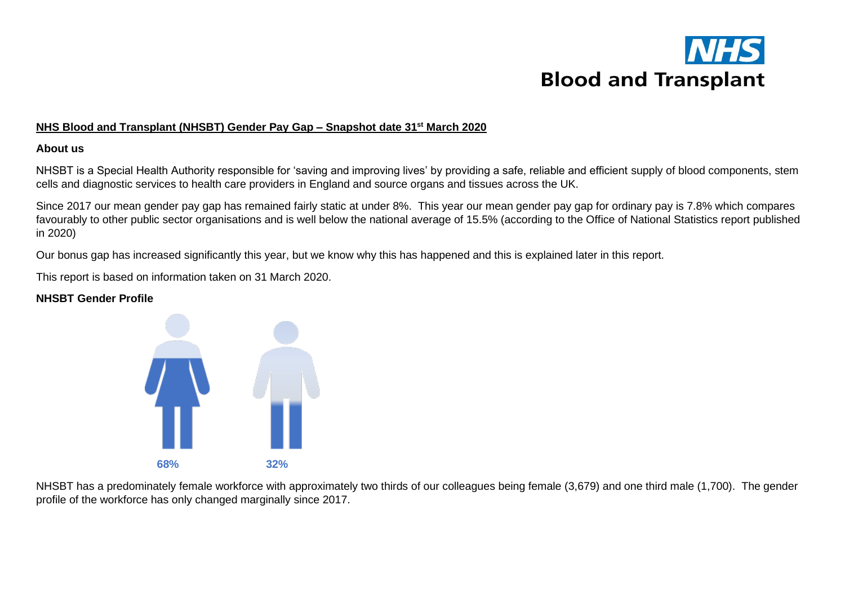

### **NHS Blood and Transplant (NHSBT) Gender Pay Gap – Snapshot date 31st March 2020**

### **About us**

NHSBT is a Special Health Authority responsible for 'saving and improving lives' by providing a safe, reliable and efficient supply of blood components, stem cells and diagnostic services to health care providers in England and source organs and tissues across the UK.

Since 2017 our mean gender pay gap has remained fairly static at under 8%. This year our mean gender pay gap for ordinary pay is 7.8% which compares favourably to other public sector organisations and is well below the national average of 15.5% (according to the Office of National Statistics report published in 2020)

Our bonus gap has increased significantly this year, but we know why this has happened and this is explained later in this report.

This report is based on information taken on 31 March 2020.

### **NHSBT Gender Profile**



NHSBT has a predominately female workforce with approximately two thirds of our colleagues being female (3,679) and one third male (1,700). The gender profile of the workforce has only changed marginally since 2017.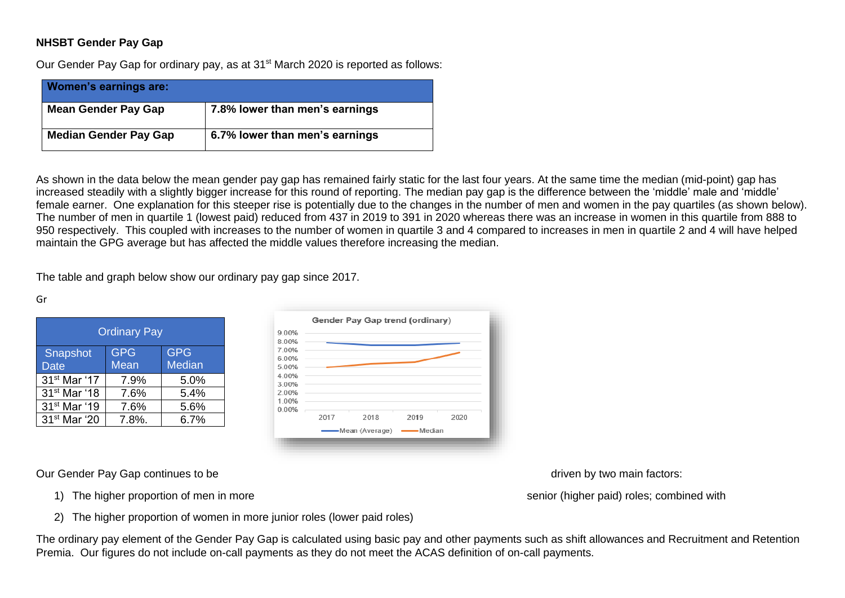# **NHSBT Gender Pay Gap**

Our Gender Pay Gap for ordinary pay, as at 31<sup>st</sup> March 2020 is reported as follows:

| <b>Women's earnings are:</b> |                                |
|------------------------------|--------------------------------|
| <b>Mean Gender Pay Gap</b>   | 7.8% lower than men's earnings |
| <b>Median Gender Pay Gap</b> | 6.7% lower than men's earnings |

As shown in the data below the mean gender pay gap has remained fairly static for the last four years. At the same time the median (mid-point) gap has increased steadily with a slightly bigger increase for this round of reporting. The median pay gap is the difference between the 'middle' male and 'middle' female earner. One explanation for this steeper rise is potentially due to the changes in the number of men and women in the pay quartiles (as shown below). The number of men in quartile 1 (lowest paid) reduced from 437 in 2019 to 391 in 2020 whereas there was an increase in women in this quartile from 888 to 950 respectively. This coupled with increases to the number of women in quartile 3 and 4 compared to increases in men in quartile 2 and 4 will have helped maintain the GPG average but has affected the middle values therefore increasing the median.

The table and graph below show our ordinary pay gap since 2017.

#### Gr

| <b>Ordinary Pay</b>      |            |               |  |  |
|--------------------------|------------|---------------|--|--|
| <b>Snapshot</b>          | <b>GPG</b> | <b>GPG</b>    |  |  |
| <b>Date</b>              | Mean       | <b>Median</b> |  |  |
| 31 <sup>st</sup> Mar '17 | 7.9%       | 5.0%          |  |  |
| 31 <sup>st</sup> Mar '18 | 7.6%       | 5.4%          |  |  |
| 31 <sup>st</sup> Mar '19 | 7.6%       | 5.6%          |  |  |
| 31 <sup>st</sup> Mar '20 | 7.8%.      | $6.7\%$       |  |  |



Our Gender Pay Gap continues to be determined by two main factors:

1) The higher proportion of men in more senior (higher paid) roles; combined with

2) The higher proportion of women in more junior roles (lower paid roles)

The ordinary pay element of the Gender Pay Gap is calculated using basic pay and other payments such as shift allowances and Recruitment and Retention Premia. Our figures do not include on-call payments as they do not meet the ACAS definition of on-call payments.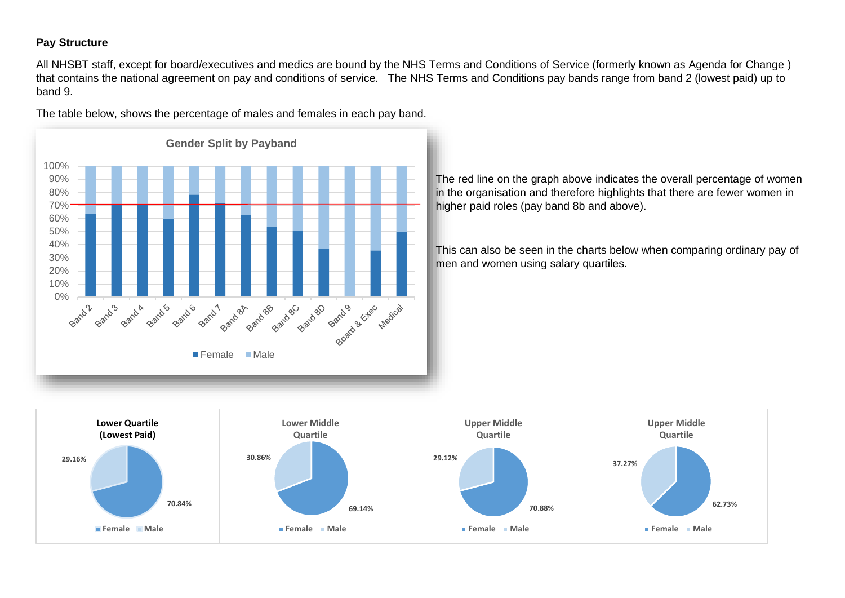## **Pay Structure**

All NHSBT staff, except for board/executives and medics are bound by the NHS Terms and Conditions of Service (formerly known as Agenda for Change ) that contains the national agreement on pay and conditions of service. The NHS Terms and Conditions pay bands range from band 2 (lowest paid) up to band 9.

The table below, shows the percentage of males and females in each pay band.



The red line on the graph above indicates the overall percentage of women in the organisation and therefore highlights that there are fewer women in higher paid roles (pay band 8b and above).

This can also be seen in the charts below when comparing ordinary pay of men and women using salary quartiles.

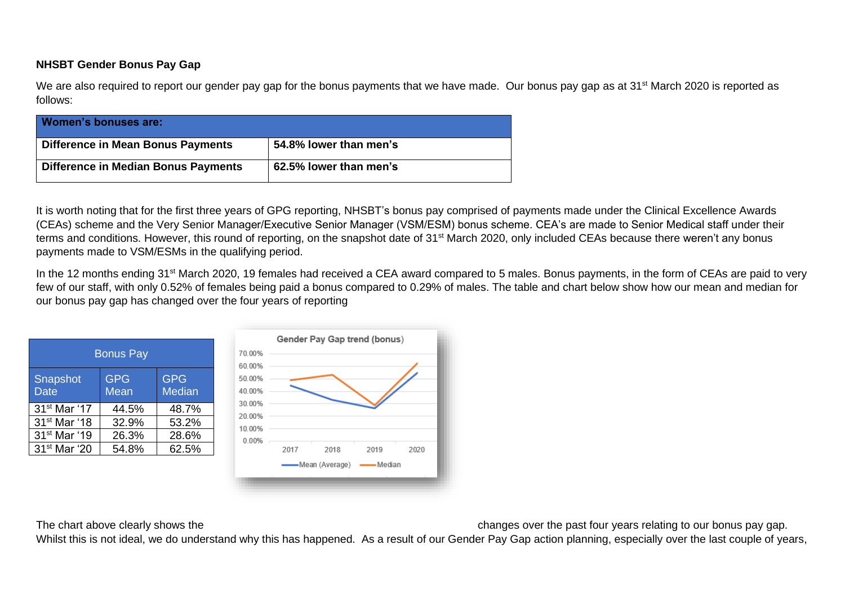# **NHSBT Gender Bonus Pay Gap**

We are also required to report our gender pay gap for the bonus payments that we have made. Our bonus pay gap as at 31<sup>st</sup> March 2020 is reported as follows:

| Women's bonuses are:                       |                        |
|--------------------------------------------|------------------------|
| Difference in Mean Bonus Payments          | 54.8% lower than men's |
| <b>Difference in Median Bonus Payments</b> | 62.5% lower than men's |

It is worth noting that for the first three years of GPG reporting, NHSBT's bonus pay comprised of payments made under the Clinical Excellence Awards (CEAs) scheme and the Very Senior Manager/Executive Senior Manager (VSM/ESM) bonus scheme. CEA's are made to Senior Medical staff under their terms and conditions. However, this round of reporting, on the snapshot date of 31<sup>st</sup> March 2020, only included CEAs because there weren't any bonus payments made to VSM/ESMs in the qualifying period.

In the 12 months ending 31<sup>st</sup> March 2020, 19 females had received a CEA award compared to 5 males. Bonus payments, in the form of CEAs are paid to very few of our staff, with only 0.52% of females being paid a bonus compared to 0.29% of males. The table and chart below show how our mean and median for our bonus pay gap has changed over the four years of reporting

| <b>Bonus Pay</b>               |                           |                             |  |  |
|--------------------------------|---------------------------|-----------------------------|--|--|
| <b>Snapshot</b><br><b>Date</b> | <b>GPG</b><br><b>Mean</b> | <b>GPG</b><br><b>Median</b> |  |  |
| 31 <sup>st</sup> Mar '17       | 44.5%                     | 48.7%                       |  |  |
| 31 <sup>st</sup> Mar '18       | 32.9%                     | 53.2%                       |  |  |
| 31 <sup>st</sup> Mar '19       | 26.3%                     | 28.6%                       |  |  |
| 31 <sup>st</sup> Mar '20       | 54.8%                     | 62.5%                       |  |  |



The chart above clearly shows the changes over the past four years relating to our bonus pay gap.

Whilst this is not ideal, we do understand why this has happened. As a result of our Gender Pay Gap action planning, especially over the last couple of years,